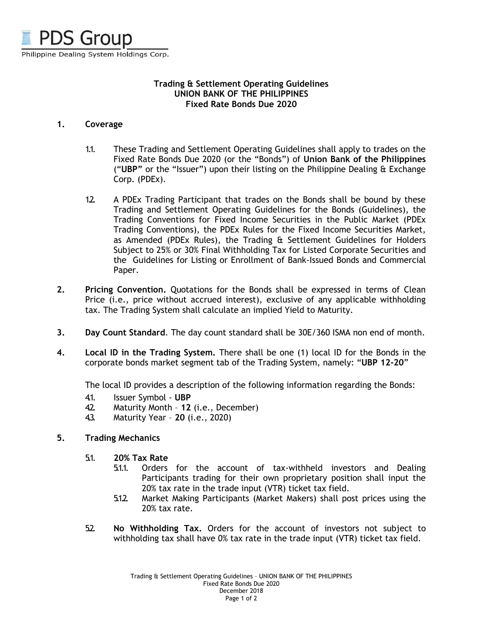

## **Trading & Settlement Operating Guidelines UNION BANK OF THE PHILIPPINES Fixed Rate Bonds Due 2020**

## **1. Coverage**

- 1.1. These Trading and Settlement Operating Guidelines shall apply to trades on the Fixed Rate Bonds Due 2020 (or the "Bonds") of **Union Bank of the Philippines** ("**UBP"** or the "Issuer") upon their listing on the Philippine Dealing & Exchange Corp. (PDEx).
- 1.2. A PDEx Trading Participant that trades on the Bonds shall be bound by these Trading and Settlement Operating Guidelines for the Bonds (Guidelines), the Trading Conventions for Fixed Income Securities in the Public Market (PDEx Trading Conventions), the PDEx Rules for the Fixed Income Securities Market, as Amended (PDEx Rules), the Trading & Settlement Guidelines for Holders Subject to 25% or 30% Final Withholding Tax for Listed Corporate Securities and the Guidelines for Listing or Enrollment of Bank-Issued Bonds and Commercial Paper.
- **2. Pricing Convention.** Quotations for the Bonds shall be expressed in terms of Clean Price (i.e., price without accrued interest), exclusive of any applicable withholding tax. The Trading System shall calculate an implied Yield to Maturity.
- **3. Day Count Standard**. The day count standard shall be 30E/360 ISMA non end of month.
- **4. Local ID in the Trading System.** There shall be one (1) local ID for the Bonds in the corporate bonds market segment tab of the Trading System, namely: "**UBP 12-20**"

The local ID provides a description of the following information regarding the Bonds:

- 4.1. Issuer Symbol **UBP**
- 4.2. Maturity Month **12** (i.e., December)
- 4.3. Maturity Year **20** (i.e., 2020)

## **5. Trading Mechanics**

- 5.1. **20% Tax Rate**
	- 5.1.1. Orders for the account of tax-withheld investors and Dealing Participants trading for their own proprietary position shall input the 20% tax rate in the trade input (VTR) ticket tax field.
	- 5.1.2. Market Making Participants (Market Makers) shall post prices using the 20% tax rate.
- 5.2. **No Withholding Tax.** Orders for the account of investors not subject to withholding tax shall have 0% tax rate in the trade input (VTR) ticket tax field.